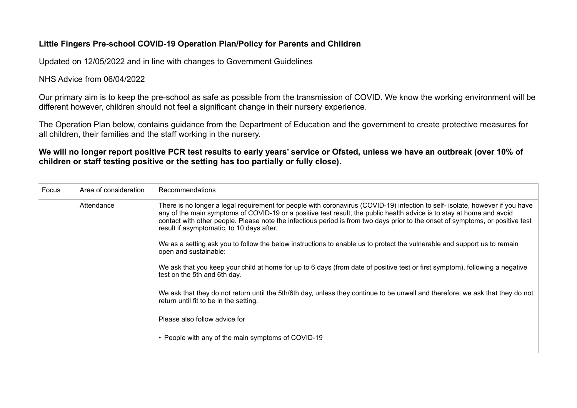## **Little Fingers Pre-school COVID-19 Operation Plan/Policy for Parents and Children**

Updated on 12/05/2022 and in line with changes to Government Guidelines

## NHS Advice from 06/04/2022

Our primary aim is to keep the pre-school as safe as possible from the transmission of COVID. We know the working environment will be different however, children should not feel a significant change in their nursery experience.

The Operation Plan below, contains guidance from the Department of Education and the government to create protective measures for all children, their families and the staff working in the nursery.

**We will no longer report positive PCR test results to early years' service or Ofsted, unless we have an outbreak (over 10% of children or staff testing positive or the setting has too partially or fully close).** 

| Focus | Area of consideration | Recommendations                                                                                                                                                                                                                                                                                                                                                                                                                       |
|-------|-----------------------|---------------------------------------------------------------------------------------------------------------------------------------------------------------------------------------------------------------------------------------------------------------------------------------------------------------------------------------------------------------------------------------------------------------------------------------|
|       | Attendance            | There is no longer a legal requirement for people with coronavirus (COVID-19) infection to self- isolate, however if you have<br>any of the main symptoms of COVID-19 or a positive test result, the public health advice is to stay at home and avoid<br>contact with other people. Please note the infectious period is from two days prior to the onset of symptoms, or positive test<br>result if asymptomatic, to 10 days after. |
|       |                       | We as a setting ask you to follow the below instructions to enable us to protect the vulnerable and support us to remain<br>open and sustainable:                                                                                                                                                                                                                                                                                     |
|       |                       | We ask that you keep your child at home for up to 6 days (from date of positive test or first symptom), following a negative<br>test on the 5th and 6th day.                                                                                                                                                                                                                                                                          |
|       |                       | We ask that they do not return until the 5th/6th day, unless they continue to be unwell and therefore, we ask that they do not<br>return until fit to be in the setting.                                                                                                                                                                                                                                                              |
|       |                       | Please also follow advice for                                                                                                                                                                                                                                                                                                                                                                                                         |
|       |                       | • People with any of the main symptoms of COVID-19                                                                                                                                                                                                                                                                                                                                                                                    |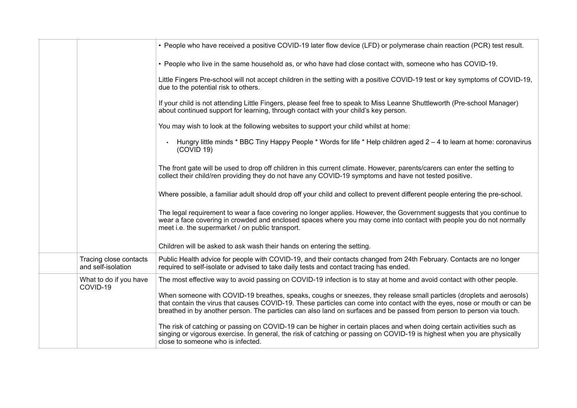|                                              | • People who have received a positive COVID-19 later flow device (LFD) or polymerase chain reaction (PCR) test result.                                                                                                                                                                                                                                                     |
|----------------------------------------------|----------------------------------------------------------------------------------------------------------------------------------------------------------------------------------------------------------------------------------------------------------------------------------------------------------------------------------------------------------------------------|
|                                              | . People who live in the same household as, or who have had close contact with, someone who has COVID-19.                                                                                                                                                                                                                                                                  |
|                                              | Little Fingers Pre-school will not accept children in the setting with a positive COVID-19 test or key symptoms of COVID-19,<br>due to the potential risk to others.                                                                                                                                                                                                       |
|                                              | If your child is not attending Little Fingers, please feel free to speak to Miss Leanne Shuttleworth (Pre-school Manager)<br>about continued support for learning, through contact with your child's key person.                                                                                                                                                           |
|                                              | You may wish to look at the following websites to support your child whilst at home:                                                                                                                                                                                                                                                                                       |
|                                              | Hungry little minds * BBC Tiny Happy People * Words for life * Help children aged 2 – 4 to learn at home: coronavirus<br>(COVID 19)                                                                                                                                                                                                                                        |
|                                              | The front gate will be used to drop off children in this current climate. However, parents/carers can enter the setting to<br>collect their child/ren providing they do not have any COVID-19 symptoms and have not tested positive.                                                                                                                                       |
|                                              | Where possible, a familiar adult should drop off your child and collect to prevent different people entering the pre-school.                                                                                                                                                                                                                                               |
|                                              | The legal requirement to wear a face covering no longer applies. However, the Government suggests that you continue to<br>wear a face covering in crowded and enclosed spaces where you may come into contact with people you do not normally<br>meet i.e. the supermarket / on public transport.                                                                          |
|                                              | Children will be asked to ask wash their hands on entering the setting.                                                                                                                                                                                                                                                                                                    |
| Tracing close contacts<br>and self-isolation | Public Health advice for people with COVID-19, and their contacts changed from 24th February. Contacts are no longer<br>required to self-isolate or advised to take daily tests and contact tracing has ended.                                                                                                                                                             |
| What to do if you have<br>COVID-19           | The most effective way to avoid passing on COVID-19 infection is to stay at home and avoid contact with other people.                                                                                                                                                                                                                                                      |
|                                              | When someone with COVID-19 breathes, speaks, coughs or sneezes, they release small particles (droplets and aerosols)<br>that contain the virus that causes COVID-19. These particles can come into contact with the eyes, nose or mouth or can be<br>breathed in by another person. The particles can also land on surfaces and be passed from person to person via touch. |
|                                              | The risk of catching or passing on COVID-19 can be higher in certain places and when doing certain activities such as<br>singing or vigorous exercise. In general, the risk of catching or passing on COVID-19 is highest when you are physically<br>close to someone who is infected.                                                                                     |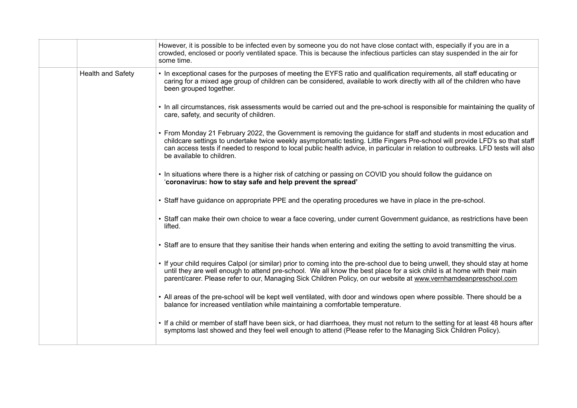|                   | However, it is possible to be infected even by someone you do not have close contact with, especially if you are in a<br>crowded, enclosed or poorly ventilated space. This is because the infectious particles can stay suspended in the air for<br>some time.                                                                                                                                                        |
|-------------------|------------------------------------------------------------------------------------------------------------------------------------------------------------------------------------------------------------------------------------------------------------------------------------------------------------------------------------------------------------------------------------------------------------------------|
| Health and Safety | • In exceptional cases for the purposes of meeting the EYFS ratio and qualification requirements, all staff educating or<br>caring for a mixed age group of children can be considered, available to work directly with all of the children who have<br>been grouped together.                                                                                                                                         |
|                   | • In all circumstances, risk assessments would be carried out and the pre-school is responsible for maintaining the quality of<br>care, safety, and security of children.                                                                                                                                                                                                                                              |
|                   | • From Monday 21 February 2022, the Government is removing the guidance for staff and students in most education and<br>childcare settings to undertake twice weekly asymptomatic testing. Little Fingers Pre-school will provide LFD's so that staff<br>can access tests if needed to respond to local public health advice, in particular in relation to outbreaks. LFD tests will also<br>be available to children. |
|                   | • In situations where there is a higher risk of catching or passing on COVID you should follow the guidance on<br>'coronavirus: how to stay safe and help prevent the spread'                                                                                                                                                                                                                                          |
|                   | • Staff have guidance on appropriate PPE and the operating procedures we have in place in the pre-school.                                                                                                                                                                                                                                                                                                              |
|                   | • Staff can make their own choice to wear a face covering, under current Government guidance, as restrictions have been<br>lifted.                                                                                                                                                                                                                                                                                     |
|                   | . Staff are to ensure that they sanitise their hands when entering and exiting the setting to avoid transmitting the virus.                                                                                                                                                                                                                                                                                            |
|                   | . If your child requires Calpol (or similar) prior to coming into the pre-school due to being unwell, they should stay at home<br>until they are well enough to attend pre-school. We all know the best place for a sick child is at home with their main<br>parent/carer. Please refer to our, Managing Sick Children Policy, on our website at www.vernhamdeanpreschool.com                                          |
|                   | • All areas of the pre-school will be kept well ventilated, with door and windows open where possible. There should be a<br>balance for increased ventilation while maintaining a comfortable temperature.                                                                                                                                                                                                             |
|                   | • If a child or member of staff have been sick, or had diarrhoea, they must not return to the setting for at least 48 hours after<br>symptoms last showed and they feel well enough to attend (Please refer to the Managing Sick Children Policy).                                                                                                                                                                     |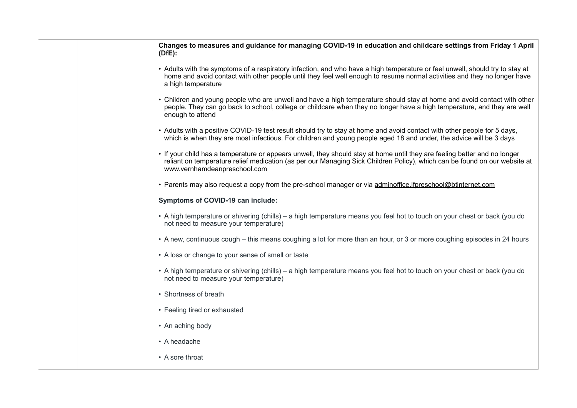| Changes to measures and guidance for managing COVID-19 in education and childcare settings from Friday 1 April<br>(DfE):                                                                                                                                                               |
|----------------------------------------------------------------------------------------------------------------------------------------------------------------------------------------------------------------------------------------------------------------------------------------|
| • Adults with the symptoms of a respiratory infection, and who have a high temperature or feel unwell, should try to stay at<br>home and avoid contact with other people until they feel well enough to resume normal activities and they no longer have<br>a high temperature         |
| • Children and young people who are unwell and have a high temperature should stay at home and avoid contact with other<br>people. They can go back to school, college or childcare when they no longer have a high temperature, and they are well<br>enough to attend                 |
| • Adults with a positive COVID-19 test result should try to stay at home and avoid contact with other people for 5 days,<br>which is when they are most infectious. For children and young people aged 18 and under, the advice will be 3 days                                         |
| • If your child has a temperature or appears unwell, they should stay at home until they are feeling better and no longer<br>reliant on temperature relief medication (as per our Managing Sick Children Policy), which can be found on our website at<br>www.vernhamdeanpreschool.com |
| • Parents may also request a copy from the pre-school manager or via adminoffice. If preschool@btinternet.com                                                                                                                                                                          |
| Symptoms of COVID-19 can include:                                                                                                                                                                                                                                                      |
| • A high temperature or shivering (chills) – a high temperature means you feel hot to touch on your chest or back (you do<br>not need to measure your temperature)                                                                                                                     |
| • A new, continuous cough – this means coughing a lot for more than an hour, or 3 or more coughing episodes in 24 hours                                                                                                                                                                |
| • A loss or change to your sense of smell or taste                                                                                                                                                                                                                                     |
| • A high temperature or shivering (chills) – a high temperature means you feel hot to touch on your chest or back (you do<br>not need to measure your temperature)                                                                                                                     |
| • Shortness of breath                                                                                                                                                                                                                                                                  |
| • Feeling tired or exhausted                                                                                                                                                                                                                                                           |
| • An aching body                                                                                                                                                                                                                                                                       |
| • A headache                                                                                                                                                                                                                                                                           |
| • A sore throat                                                                                                                                                                                                                                                                        |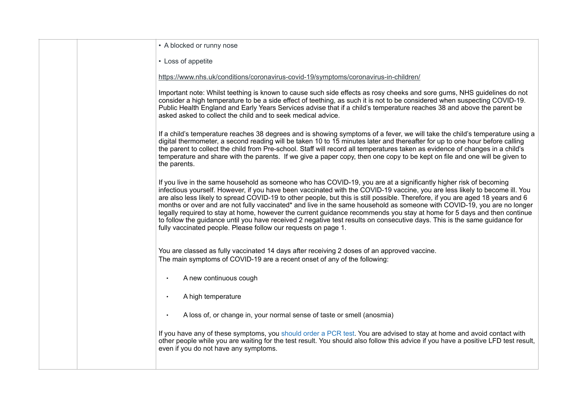| • A blocked or runny nose                                                                                                                                                                                                                                                                                                                                                                                                                                                                                                                                                                                                                                                                                                                                                                                                               |
|-----------------------------------------------------------------------------------------------------------------------------------------------------------------------------------------------------------------------------------------------------------------------------------------------------------------------------------------------------------------------------------------------------------------------------------------------------------------------------------------------------------------------------------------------------------------------------------------------------------------------------------------------------------------------------------------------------------------------------------------------------------------------------------------------------------------------------------------|
| • Loss of appetite                                                                                                                                                                                                                                                                                                                                                                                                                                                                                                                                                                                                                                                                                                                                                                                                                      |
| https://www.nhs.uk/conditions/coronavirus-covid-19/symptoms/coronavirus-in-children/                                                                                                                                                                                                                                                                                                                                                                                                                                                                                                                                                                                                                                                                                                                                                    |
| Important note: Whilst teething is known to cause such side effects as rosy cheeks and sore gums, NHS guidelines do not<br>consider a high temperature to be a side effect of teething, as such it is not to be considered when suspecting COVID-19.<br>Public Health England and Early Years Services advise that if a child's temperature reaches 38 and above the parent be<br>asked asked to collect the child and to seek medical advice.                                                                                                                                                                                                                                                                                                                                                                                          |
| If a child's temperature reaches 38 degrees and is showing symptoms of a fever, we will take the child's temperature using a<br>digital thermometer, a second reading will be taken 10 to 15 minutes later and thereafter for up to one hour before calling<br>the parent to collect the child from Pre-school. Staff will record all temperatures taken as evidence of changes in a child's<br>temperature and share with the parents. If we give a paper copy, then one copy to be kept on file and one will be given to<br>the parents.                                                                                                                                                                                                                                                                                              |
| If you live in the same household as someone who has COVID-19, you are at a significantly higher risk of becoming<br>infectious yourself. However, if you have been vaccinated with the COVID-19 vaccine, you are less likely to become ill. You<br>are also less likely to spread COVID-19 to other people, but this is still possible. Therefore, if you are aged 18 years and 6<br>months or over and are not fully vaccinated* and live in the same household as someone with COVID-19, you are no longer<br>legally required to stay at home, however the current guidance recommends you stay at home for 5 days and then continue<br>to follow the guidance until you have received 2 negative test results on consecutive days. This is the same guidance for<br>fully vaccinated people. Please follow our requests on page 1. |
| You are classed as fully vaccinated 14 days after receiving 2 doses of an approved vaccine.<br>The main symptoms of COVID-19 are a recent onset of any of the following:                                                                                                                                                                                                                                                                                                                                                                                                                                                                                                                                                                                                                                                                |
| A new continuous cough<br>$\bullet$                                                                                                                                                                                                                                                                                                                                                                                                                                                                                                                                                                                                                                                                                                                                                                                                     |
| A high temperature<br>$\bullet$                                                                                                                                                                                                                                                                                                                                                                                                                                                                                                                                                                                                                                                                                                                                                                                                         |
| A loss of, or change in, your normal sense of taste or smell (anosmia)<br>$\bullet$                                                                                                                                                                                                                                                                                                                                                                                                                                                                                                                                                                                                                                                                                                                                                     |
| If you have any of these symptoms, you should order a PCR test. You are advised to stay at home and avoid contact with<br>other people while you are waiting for the test result. You should also follow this advice if you have a positive LFD test result,<br>even if you do not have any symptoms.                                                                                                                                                                                                                                                                                                                                                                                                                                                                                                                                   |
|                                                                                                                                                                                                                                                                                                                                                                                                                                                                                                                                                                                                                                                                                                                                                                                                                                         |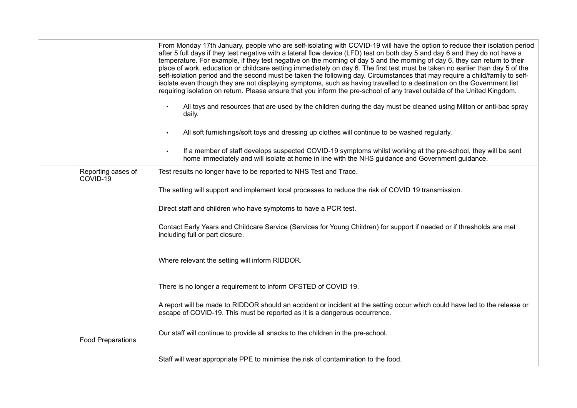|                                | From Monday 17th January, people who are self-isolating with COVID-19 will have the option to reduce their isolation period<br>after 5 full days if they test negative with a lateral flow device (LFD) test on both day 5 and day 6 and they do not have a<br>temperature. For example, if they test negative on the morning of day 5 and the morning of day 6, they can return to their<br>place of work, education or childcare setting immediately on day 6. The first test must be taken no earlier than day 5 of the<br>self-isolation period and the second must be taken the following day. Circumstances that may require a child/family to self-<br>isolate even though they are not displaying symptoms, such as having travelled to a destination on the Government list<br>requiring isolation on return. Please ensure that you inform the pre-school of any travel outside of the United Kingdom.<br>All toys and resources that are used by the children during the day must be cleaned using Milton or anti-bac spray<br>$\bullet$<br>daily.<br>All soft furnishings/soft toys and dressing up clothes will continue to be washed regularly.<br>$\bullet$<br>If a member of staff develops suspected COVID-19 symptoms whilst working at the pre-school, they will be sent<br>$\bullet$<br>home immediately and will isolate at home in line with the NHS guidance and Government guidance. |
|--------------------------------|--------------------------------------------------------------------------------------------------------------------------------------------------------------------------------------------------------------------------------------------------------------------------------------------------------------------------------------------------------------------------------------------------------------------------------------------------------------------------------------------------------------------------------------------------------------------------------------------------------------------------------------------------------------------------------------------------------------------------------------------------------------------------------------------------------------------------------------------------------------------------------------------------------------------------------------------------------------------------------------------------------------------------------------------------------------------------------------------------------------------------------------------------------------------------------------------------------------------------------------------------------------------------------------------------------------------------------------------------------------------------------------------------------------|
| Reporting cases of<br>COVID-19 | Test results no longer have to be reported to NHS Test and Trace.                                                                                                                                                                                                                                                                                                                                                                                                                                                                                                                                                                                                                                                                                                                                                                                                                                                                                                                                                                                                                                                                                                                                                                                                                                                                                                                                            |
|                                | The setting will support and implement local processes to reduce the risk of COVID 19 transmission.                                                                                                                                                                                                                                                                                                                                                                                                                                                                                                                                                                                                                                                                                                                                                                                                                                                                                                                                                                                                                                                                                                                                                                                                                                                                                                          |
|                                | Direct staff and children who have symptoms to have a PCR test.                                                                                                                                                                                                                                                                                                                                                                                                                                                                                                                                                                                                                                                                                                                                                                                                                                                                                                                                                                                                                                                                                                                                                                                                                                                                                                                                              |
|                                | Contact Early Years and Childcare Service (Services for Young Children) for support if needed or if thresholds are met<br>including full or part closure.                                                                                                                                                                                                                                                                                                                                                                                                                                                                                                                                                                                                                                                                                                                                                                                                                                                                                                                                                                                                                                                                                                                                                                                                                                                    |
|                                | Where relevant the setting will inform RIDDOR.                                                                                                                                                                                                                                                                                                                                                                                                                                                                                                                                                                                                                                                                                                                                                                                                                                                                                                                                                                                                                                                                                                                                                                                                                                                                                                                                                               |
|                                | There is no longer a requirement to inform OFSTED of COVID 19.                                                                                                                                                                                                                                                                                                                                                                                                                                                                                                                                                                                                                                                                                                                                                                                                                                                                                                                                                                                                                                                                                                                                                                                                                                                                                                                                               |
|                                | A report will be made to RIDDOR should an accident or incident at the setting occur which could have led to the release or<br>escape of COVID-19. This must be reported as it is a dangerous occurrence.                                                                                                                                                                                                                                                                                                                                                                                                                                                                                                                                                                                                                                                                                                                                                                                                                                                                                                                                                                                                                                                                                                                                                                                                     |
| <b>Food Preparations</b>       | Our staff will continue to provide all snacks to the children in the pre-school.                                                                                                                                                                                                                                                                                                                                                                                                                                                                                                                                                                                                                                                                                                                                                                                                                                                                                                                                                                                                                                                                                                                                                                                                                                                                                                                             |
|                                | Staff will wear appropriate PPE to minimise the risk of contamination to the food.                                                                                                                                                                                                                                                                                                                                                                                                                                                                                                                                                                                                                                                                                                                                                                                                                                                                                                                                                                                                                                                                                                                                                                                                                                                                                                                           |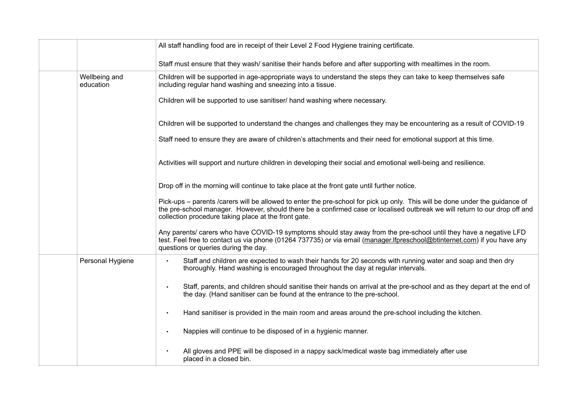|                            | All staff handling food are in receipt of their Level 2 Food Hygiene training certificate.                                                                                                                                                                                                                         |
|----------------------------|--------------------------------------------------------------------------------------------------------------------------------------------------------------------------------------------------------------------------------------------------------------------------------------------------------------------|
|                            | Staff must ensure that they wash/sanitise their hands before and after supporting with mealtimes in the room.                                                                                                                                                                                                      |
| Wellbeing and<br>education | Children will be supported in age-appropriate ways to understand the steps they can take to keep themselves safe<br>including regular hand washing and sneezing into a tissue.                                                                                                                                     |
|                            | Children will be supported to use sanitiser/ hand washing where necessary.                                                                                                                                                                                                                                         |
|                            | Children will be supported to understand the changes and challenges they may be encountering as a result of COVID-19                                                                                                                                                                                               |
|                            | Staff need to ensure they are aware of children's attachments and their need for emotional support at this time.                                                                                                                                                                                                   |
|                            | Activities will support and nurture children in developing their social and emotional well-being and resilience.                                                                                                                                                                                                   |
|                            | Drop off in the morning will continue to take place at the front gate until further notice.                                                                                                                                                                                                                        |
|                            | Pick-ups – parents /carers will be allowed to enter the pre-school for pick up only. This will be done under the guidance of<br>the pre-school manager. However, should there be a confirmed case or localised outbreak we will return to our drop off and<br>collection procedure taking place at the front gate. |
|                            | Any parents/ carers who have COVID-19 symptoms should stay away from the pre-school until they have a negative LFD<br>test. Feel free to contact us via phone (01264 737735) or via email (manager.Ifpreschool@btinternet.com) if you have any<br>questions or queries during the day.                             |
| Personal Hygiene           | Staff and children are expected to wash their hands for 20 seconds with running water and soap and then dry<br>$\bullet$<br>thoroughly. Hand washing is encouraged throughout the day at regular intervals.                                                                                                        |
|                            | Staff, parents, and children should sanitise their hands on arrival at the pre-school and as they depart at the end of<br>$\bullet$<br>the day. (Hand sanitiser can be found at the entrance to the pre-school.                                                                                                    |
|                            | Hand sanitiser is provided in the main room and areas around the pre-school including the kitchen.<br>$\bullet$                                                                                                                                                                                                    |
|                            | Nappies will continue to be disposed of in a hygienic manner.<br>$\bullet$                                                                                                                                                                                                                                         |
|                            | All gloves and PPE will be disposed in a nappy sack/medical waste bag immediately after use<br>$\bullet$<br>placed in a closed bin.                                                                                                                                                                                |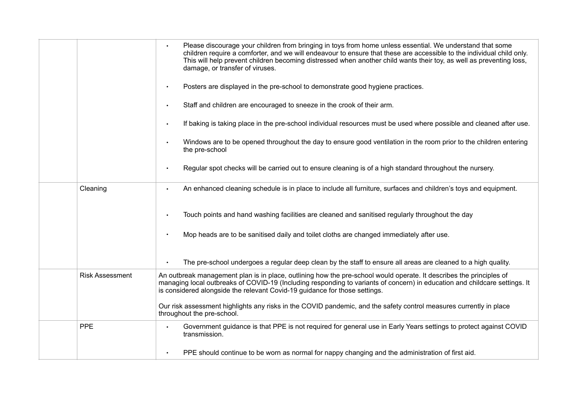|                        | Please discourage your children from bringing in toys from home unless essential. We understand that some<br>children require a comforter, and we will endeavour to ensure that these are accessible to the individual child only.<br>This will help prevent children becoming distressed when another child wants their toy, as well as preventing loss,<br>damage, or transfer of viruses. |
|------------------------|----------------------------------------------------------------------------------------------------------------------------------------------------------------------------------------------------------------------------------------------------------------------------------------------------------------------------------------------------------------------------------------------|
|                        | Posters are displayed in the pre-school to demonstrate good hygiene practices.                                                                                                                                                                                                                                                                                                               |
|                        | Staff and children are encouraged to sneeze in the crook of their arm.<br>$\bullet$                                                                                                                                                                                                                                                                                                          |
|                        | If baking is taking place in the pre-school individual resources must be used where possible and cleaned after use.<br>$\bullet$                                                                                                                                                                                                                                                             |
|                        | Windows are to be opened throughout the day to ensure good ventilation in the room prior to the children entering<br>$\bullet$<br>the pre-school                                                                                                                                                                                                                                             |
|                        | Regular spot checks will be carried out to ensure cleaning is of a high standard throughout the nursery.<br>$\bullet$                                                                                                                                                                                                                                                                        |
| Cleaning               | An enhanced cleaning schedule is in place to include all furniture, surfaces and children's toys and equipment.<br>$\bullet$                                                                                                                                                                                                                                                                 |
|                        | Touch points and hand washing facilities are cleaned and sanitised regularly throughout the day<br>$\bullet$                                                                                                                                                                                                                                                                                 |
|                        | Mop heads are to be sanitised daily and toilet cloths are changed immediately after use.                                                                                                                                                                                                                                                                                                     |
|                        | The pre-school undergoes a regular deep clean by the staff to ensure all areas are cleaned to a high quality.                                                                                                                                                                                                                                                                                |
| <b>Risk Assessment</b> | An outbreak management plan is in place, outlining how the pre-school would operate. It describes the principles of<br>managing local outbreaks of COVID-19 (Including responding to variants of concern) in education and childcare settings. It<br>is considered alongside the relevant Covid-19 guidance for those settings.                                                              |
|                        | Our risk assessment highlights any risks in the COVID pandemic, and the safety control measures currently in place<br>throughout the pre-school.                                                                                                                                                                                                                                             |
| <b>PPE</b>             | Government guidance is that PPE is not required for general use in Early Years settings to protect against COVID<br>transmission.                                                                                                                                                                                                                                                            |
|                        | PPE should continue to be worn as normal for nappy changing and the administration of first aid.<br>$\bullet$                                                                                                                                                                                                                                                                                |